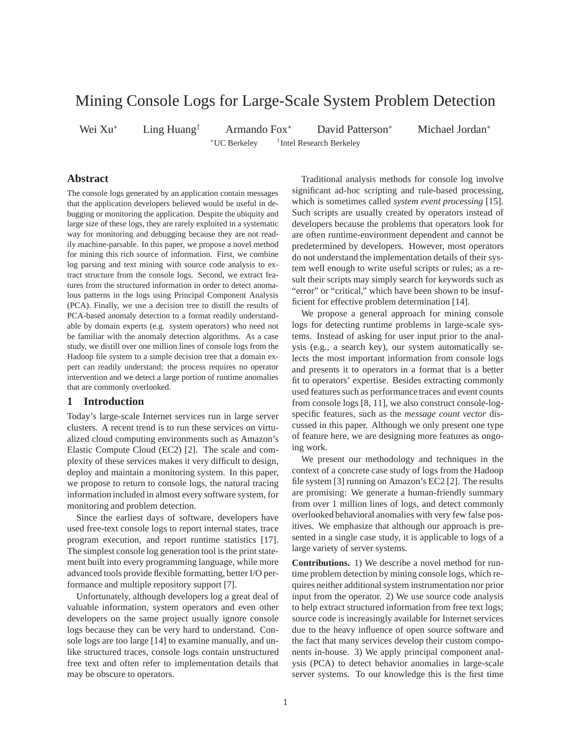# Mining Console Logs for Large-Scale System Problem Detection

Wei Xu<sup>∗</sup> Ling Huang† Armando Fox<sup>∗</sup> David Patterson<sup>∗</sup> Michael Jordan<sup>∗</sup> <sup>∗</sup>UC Berkeley † <sup>†</sup>Intel Research Berkeley

# **Abstract**

The console logs generated by an application contain messages that the application developers believed would be useful in debugging or monitoring the application. Despite the ubiquity and large size of these logs, they are rarely exploited in a systematic way for monitoring and debugging because they are not readily machine-parsable. In this paper, we propose a novel method for mining this rich source of information. First, we combine log parsing and text mining with source code analysis to extract structure from the console logs. Second, we extract features from the structured information in order to detect anomalous patterns in the logs using Principal Component Analysis (PCA). Finally, we use a decision tree to distill the results of PCA-based anomaly detection to a format readily understandable by domain experts (e.g. system operators) who need not be familiar with the anomaly detection algorithms. As a case study, we distill over one million lines of console logs from the Hadoop file system to a simple decision tree that a domain expert can readily understand; the process requires no operator intervention and we detect a large portion of runtime anomalies that are commonly overlooked.

# **1 Introduction**

Today's large-scale Internet services run in large server clusters. A recent trend is to run these services on virtualized cloud computing environments such as Amazon's Elastic Compute Cloud (EC2) [2]. The scale and complexity of these services makes it very difficult to design, deploy and maintain a monitoring system. In this paper, we propose to return to console logs, the natural tracing information included in almost every software system, for monitoring and problem detection.

Since the earliest days of software, developers have used free-text console logs to report internal states, trace program execution, and report runtime statistics [17]. The simplest console log generation tool is the print statement built into every programming language, while more advanced tools provide flexible formatting, better I/O performance and multiple repository support [7].

Unfortunately, although developers log a great deal of valuable information, system operators and even other developers on the same project usually ignore console logs because they can be very hard to understand. Console logs are too large [14] to examine manually, and unlike structured traces, console logs contain unstructured free text and often refer to implementation details that may be obscure to operators.

Traditional analysis methods for console log involve significant ad-hoc scripting and rule-based processing, which is sometimes called *system event processing* [15]. Such scripts are usually created by operators instead of developers because the problems that operators look for are often runtime-environment dependent and cannot be predetermined by developers. However, most operators do not understand the implementation details of their system well enough to write useful scripts or rules; as a result their scripts may simply search for keywords such as "error" or "critical," which have been shown to be insufficient for effective problem determination [14].

We propose a general approach for mining console logs for detecting runtime problems in large-scale systems. Instead of asking for user input prior to the analysis (e.g., a search key), our system automatically selects the most important information from console logs and presents it to operators in a format that is a better fit to operators' expertise. Besides extracting commonly used features such as performance traces and event counts from console logs [8, 11], we also construct console-logspecific features, such as the *message count vector* discussed in this paper. Although we only present one type of feature here, we are designing more features as ongoing work.

We present our methodology and techniques in the context of a concrete case study of logs from the Hadoop file system [3] running on Amazon's EC2 [2]. The results are promising: We generate a human-friendly summary from over 1 million lines of logs, and detect commonly overlooked behavioral anomalies with very few false positives. We emphasize that although our approach is presented in a single case study, it is applicable to logs of a large variety of server systems.

**Contributions.** 1) We describe a novel method for runtime problem detection by mining console logs, which requires neither additional system instrumentation nor prior input from the operator. 2) We use source code analysis to help extract structured information from free text logs; source code is increasingly available for Internet services due to the heavy influence of open source software and the fact that many services develop their custom components in-house. 3) We apply principal component analysis (PCA) to detect behavior anomalies in large-scale server systems. To our knowledge this is the first time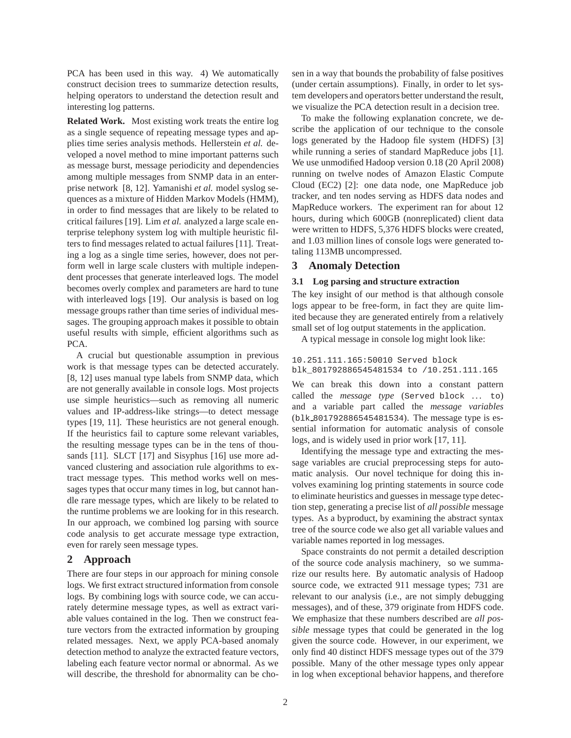PCA has been used in this way. 4) We automatically construct decision trees to summarize detection results, helping operators to understand the detection result and interesting log patterns.

**Related Work.** Most existing work treats the entire log as a single sequence of repeating message types and applies time series analysis methods. Hellerstein *et al.* developed a novel method to mine important patterns such as message burst, message periodicity and dependencies among multiple messages from SNMP data in an enterprise network [8, 12]. Yamanishi *et al.* model syslog sequences as a mixture of Hidden Markov Models (HMM), in order to find messages that are likely to be related to critical failures [19]. Lim *et al.* analyzed a large scale enterprise telephony system log with multiple heuristic filters to find messages related to actual failures [11]. Treating a log as a single time series, however, does not perform well in large scale clusters with multiple independent processes that generate interleaved logs. The model becomes overly complex and parameters are hard to tune with interleaved logs [19]. Our analysis is based on log message groups rather than time series of individual messages. The grouping approach makes it possible to obtain useful results with simple, efficient algorithms such as PCA.

A crucial but questionable assumption in previous work is that message types can be detected accurately. [8, 12] uses manual type labels from SNMP data, which are not generally available in console logs. Most projects use simple heuristics—such as removing all numeric values and IP-address-like strings—to detect message types [19, 11]. These heuristics are not general enough. If the heuristics fail to capture some relevant variables, the resulting message types can be in the tens of thousands [11]. SLCT [17] and Sisyphus [16] use more advanced clustering and association rule algorithms to extract message types. This method works well on messages types that occur many times in log, but cannot handle rare message types, which are likely to be related to the runtime problems we are looking for in this research. In our approach, we combined log parsing with source code analysis to get accurate message type extraction, even for rarely seen message types.

# **2 Approach**

There are four steps in our approach for mining console logs. We first extract structured information from console logs. By combining logs with source code, we can accurately determine message types, as well as extract variable values contained in the log. Then we construct feature vectors from the extracted information by grouping related messages. Next, we apply PCA-based anomaly detection method to analyze the extracted feature vectors, labeling each feature vector normal or abnormal. As we will describe, the threshold for abnormality can be chosen in a way that bounds the probability of false positives (under certain assumptions). Finally, in order to let system developers and operators better understand the result, we visualize the PCA detection result in a decision tree.

To make the following explanation concrete, we describe the application of our technique to the console logs generated by the Hadoop file system (HDFS) [3] while running a series of standard MapReduce jobs [1]. We use unmodified Hadoop version 0.18 (20 April 2008) running on twelve nodes of Amazon Elastic Compute Cloud (EC2) [2]: one data node, one MapReduce job tracker, and ten nodes serving as HDFS data nodes and MapReduce workers. The experiment ran for about 12 hours, during which 600GB (nonreplicated) client data were written to HDFS, 5,376 HDFS blocks were created, and 1.03 million lines of console logs were generated totaling 113MB uncompressed.

# **3 Anomaly Detection**

## **3.1 Log parsing and structure extraction**

The key insight of our method is that although console logs appear to be free-form, in fact they are quite limited because they are generated entirely from a relatively small set of log output statements in the application.

A typical message in console log might look like:

#### 10.251.111.165:50010 Served block blk\_801792886545481534 to /10.251.111.165

We can break this down into a constant pattern called the *message type* (Served block ... to) and a variable part called the *message variables* (blk 801792886545481534). The message type is essential information for automatic analysis of console logs, and is widely used in prior work [17, 11].

Identifying the message type and extracting the message variables are crucial preprocessing steps for automatic analysis. Our novel technique for doing this involves examining log printing statements in source code to eliminate heuristics and guesses in message type detection step, generating a precise list of *all possible* message types. As a byproduct, by examining the abstract syntax tree of the source code we also get all variable values and variable names reported in log messages.

Space constraints do not permit a detailed description of the source code analysis machinery, so we summarize our results here. By automatic analysis of Hadoop source code, we extracted 911 message types; 731 are relevant to our analysis (i.e., are not simply debugging messages), and of these, 379 originate from HDFS code. We emphasize that these numbers described are *all possible* message types that could be generated in the log given the source code. However, in our experiment, we only find 40 distinct HDFS message types out of the 379 possible. Many of the other message types only appear in log when exceptional behavior happens, and therefore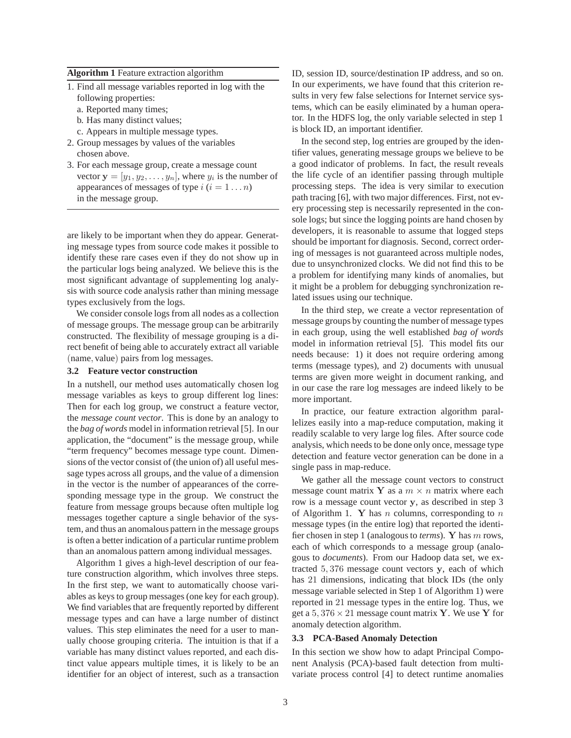#### **Algorithm 1** Feature extraction algorithm

- 1. Find all message variables reported in log with the following properties:
	- a. Reported many times;
	- b. Has many distinct values;
	- c. Appears in multiple message types.
- 2. Group messages by values of the variables chosen above.
- 3. For each message group, create a message count vector  $\mathbf{y} = [y_1, y_2, \dots, y_n]$ , where  $y_i$  is the number of appearances of messages of type  $i$   $(i = 1 ... n)$ in the message group.

are likely to be important when they do appear. Generating message types from source code makes it possible to identify these rare cases even if they do not show up in the particular logs being analyzed. We believe this is the most significant advantage of supplementing log analysis with source code analysis rather than mining message types exclusively from the logs.

We consider console logs from all nodes as a collection of message groups. The message group can be arbitrarily constructed. The flexibility of message grouping is a direct benefit of being able to accurately extract all variable (name, value) pairs from log messages.

## **3.2 Feature vector construction**

In a nutshell, our method uses automatically chosen log message variables as keys to group different log lines: Then for each log group, we construct a feature vector, the *message count vector*. This is done by an analogy to the *bag of words* model in information retrieval [5]. In our application, the "document" is the message group, while "term frequency" becomes message type count. Dimensions of the vector consist of (the union of) all useful message types across all groups, and the value of a dimension in the vector is the number of appearances of the corresponding message type in the group. We construct the feature from message groups because often multiple log messages together capture a single behavior of the system, and thus an anomalous pattern in the message groups is often a better indication of a particular runtime problem than an anomalous pattern among individual messages.

Algorithm 1 gives a high-level description of our feature construction algorithm, which involves three steps. In the first step, we want to automatically choose variables as keys to group messages (one key for each group). We find variables that are frequently reported by different message types and can have a large number of distinct values. This step eliminates the need for a user to manually choose grouping criteria. The intuition is that if a variable has many distinct values reported, and each distinct value appears multiple times, it is likely to be an identifier for an object of interest, such as a transaction

ID, session ID, source/destination IP address, and so on. In our experiments, we have found that this criterion results in very few false selections for Internet service systems, which can be easily eliminated by a human operator. In the HDFS log, the only variable selected in step 1 is block ID, an important identifier.

In the second step, log entries are grouped by the identifier values, generating message groups we believe to be a good indicator of problems. In fact, the result reveals the life cycle of an identifier passing through multiple processing steps. The idea is very similar to execution path tracing [6], with two major differences. First, not every processing step is necessarily represented in the console logs; but since the logging points are hand chosen by developers, it is reasonable to assume that logged steps should be important for diagnosis. Second, correct ordering of messages is not guaranteed across multiple nodes, due to unsynchronized clocks. We did not find this to be a problem for identifying many kinds of anomalies, but it might be a problem for debugging synchronization related issues using our technique.

In the third step, we create a vector representation of message groups by counting the number of message types in each group, using the well established *bag of words* model in information retrieval [5]. This model fits our needs because: 1) it does not require ordering among terms (message types), and 2) documents with unusual terms are given more weight in document ranking, and in our case the rare log messages are indeed likely to be more important.

In practice, our feature extraction algorithm parallelizes easily into a map-reduce computation, making it readily scalable to very large log files. After source code analysis, which needs to be done only once, message type detection and feature vector generation can be done in a single pass in map-reduce.

We gather all the message count vectors to construct message count matrix Y as a  $m \times n$  matrix where each row is a message count vector y, as described in step 3 of Algorithm 1. Y has *n* columns, corresponding to *n* message types (in the entire log) that reported the identifier chosen in step 1 (analogous to *terms*). Y has m rows, each of which corresponds to a message group (analogous to *documents*). From our Hadoop data set, we extracted 5, 376 message count vectors y, each of which has 21 dimensions, indicating that block IDs (the only message variable selected in Step 1 of Algorithm 1) were reported in 21 message types in the entire log. Thus, we get a  $5,376 \times 21$  message count matrix Y. We use Y for anomaly detection algorithm.

#### **3.3 PCA-Based Anomaly Detection**

In this section we show how to adapt Principal Component Analysis (PCA)-based fault detection from multivariate process control [4] to detect runtime anomalies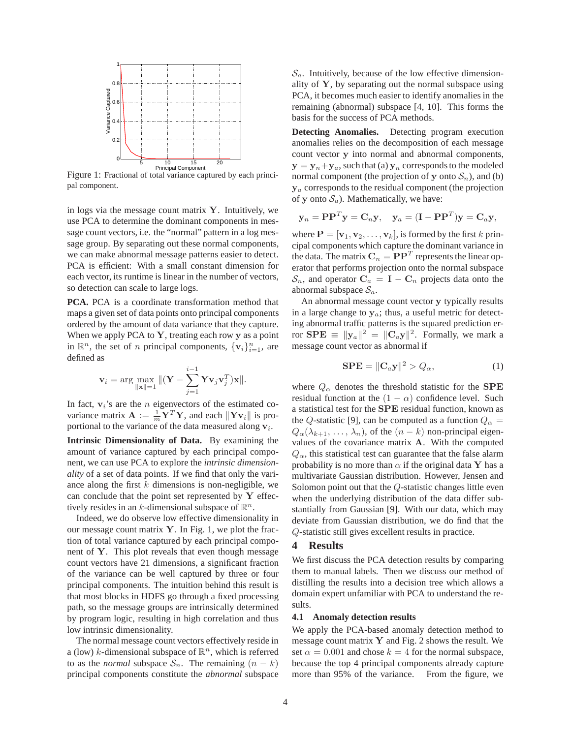

pal component.

in logs via the message count matrix  $Y$ . Intuitively, we use PCA to determine the dominant components in message count vectors, i.e. the "normal" pattern in a log message group. By separating out these normal components, we can make abnormal message patterns easier to detect. PCA is efficient: With a small constant dimension for each vector, its runtime is linear in the number of vectors, so detection can scale to large logs.

**PCA.** PCA is a coordinate transformation method that maps a given set of data points onto principal components ordered by the amount of data variance that they capture. When we apply PCA to  $Y$ , treating each row  $y$  as a point in  $\mathbb{R}^n$ , the set of *n* principal components,  $\{v_i\}_{i=1}^n$ , are defined as

$$
\mathbf{v}_i = \arg \max_{\|\mathbf{x}\|=1} \|(\mathbf{Y} - \sum_{j=1}^{i-1} \mathbf{Y} \mathbf{v}_j \mathbf{v}_j^T) \mathbf{x} \|.
$$

In fact,  $v_i$ 's are the *n* eigenvectors of the estimated covariance matrix  $\mathbf{A} := \frac{1}{m} \mathbf{Y}^T \mathbf{Y}$ , and each  $\|\mathbf{Y} \mathbf{v}_i\|$  is proportional to the variance of the data measured along  $v_i$ .

**Intrinsic Dimensionality of Data.** By examining the amount of variance captured by each principal component, we can use PCA to explore the *intrinsic dimensionality* of a set of data points. If we find that only the variance along the first  $k$  dimensions is non-negligible, we can conclude that the point set represented by  $Y$  effectively resides in an k-dimensional subspace of  $\mathbb{R}^n$ .

Indeed, we do observe low effective dimensionality in our message count matrix  $Y$ . In Fig. 1, we plot the fraction of total variance captured by each principal component of Y. This plot reveals that even though message count vectors have 21 dimensions, a significant fraction of the variance can be well captured by three or four principal components. The intuition behind this result is that most blocks in HDFS go through a fixed processing path, so the message groups are intrinsically determined by program logic, resulting in high correlation and thus low intrinsic dimensionality.

The normal message count vectors effectively reside in a (low) k-dimensional subspace of  $\mathbb{R}^n$ , which is referred to as the *normal* subspace  $S_n$ . The remaining  $(n - k)$ principal components constitute the *abnormal* subspace

 $\mathcal{S}_a$ . Intuitively, because of the low effective dimensionality of  $Y$ , by separating out the normal subspace using PCA, it becomes much easier to identify anomalies in the remaining (abnormal) subspace [4, 10]. This forms the basis for the success of PCA methods.

**Detecting Anomalies.** Detecting program execution anomalies relies on the decomposition of each message count vector y into normal and abnormal components,  $y = y_n + y_a$ , such that (a)  $y_n$  corresponds to the modeled normal component (the projection of y onto  $S_n$ ), and (b)  $y_a$  corresponds to the residual component (the projection of y onto  $S_a$ ). Mathematically, we have:

$$
\mathbf{y}_n = \mathbf{P}\mathbf{P}^T\mathbf{y} = \mathbf{C}_n\mathbf{y}, \quad \mathbf{y}_a = (\mathbf{I} - \mathbf{P}\mathbf{P}^T)\mathbf{y} = \mathbf{C}_a\mathbf{y},
$$

where  $\mathbf{P} = [\mathbf{v}_1, \mathbf{v}_2, \dots, \mathbf{v}_k]$ , is formed by the first k principal components which capture the dominant variance in the data. The matrix  $\mathbf{C}_n = \mathbf{P}\mathbf{P}^T$  represents the linear operator that performs projection onto the normal subspace  $\mathcal{S}_n$ , and operator  $\mathbf{C}_a = \mathbf{I} - \mathbf{C}_n$  projects data onto the abnormal subspace  $S_a$ .

An abnormal message count vector y typically results in a large change to  $y_a$ ; thus, a useful metric for detecting abnormal traffic patterns is the squared prediction error  $\mathbf{SPE} \equiv ||\mathbf{y}_a||^2 = ||\mathbf{C}_a \mathbf{y}||^2$ . Formally, we mark a message count vector as abnormal if

$$
\mathbf{SPE} = \|\mathbf{C}_a \mathbf{y}\|^2 > Q_\alpha,\tag{1}
$$

where  $Q_{\alpha}$  denotes the threshold statistic for the SPE residual function at the  $(1 - \alpha)$  confidence level. Such a statistical test for the SPE residual function, known as the Q-statistic [9], can be computed as a function  $Q_{\alpha}$  =  $Q_{\alpha}(\lambda_{k+1}, \ldots, \lambda_n)$ , of the  $(n-k)$  non-principal eigenvalues of the covariance matrix A. With the computed  $Q_{\alpha}$ , this statistical test can guarantee that the false alarm probability is no more than  $\alpha$  if the original data Y has a multivariate Gaussian distribution. However, Jensen and Solomon point out that the Q-statistic changes little even when the underlying distribution of the data differ substantially from Gaussian [9]. With our data, which may deviate from Gaussian distribution, we do find that the Q-statistic still gives excellent results in practice.

#### **4 Results**

We first discuss the PCA detection results by comparing them to manual labels. Then we discuss our method of distilling the results into a decision tree which allows a domain expert unfamiliar with PCA to understand the results.

#### **4.1 Anomaly detection results**

We apply the PCA-based anomaly detection method to message count matrix  $Y$  and Fig. 2 shows the result. We set  $\alpha = 0.001$  and chose  $k = 4$  for the normal subspace, because the top 4 principal components already capture more than 95% of the variance. From the figure, we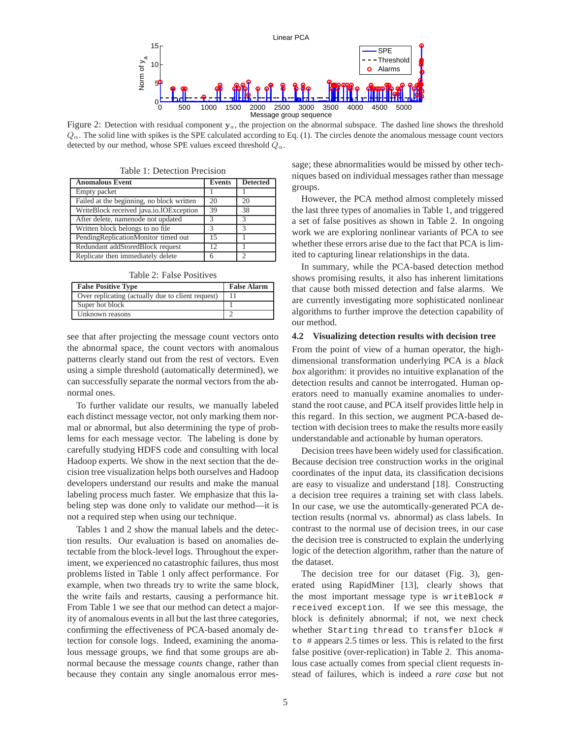

Figure 2: Detection with residual component  $y_a$ , the projection on the abnormal subspace. The dashed line shows the threshold  $Q_{\alpha}$ . The solid line with spikes is the SPE calculated according to Eq. (1). The circles denote the anomalous message count vectors detected by our method, whose SPE values exceed threshold  $Q_{\alpha}$ .

| <b>Anomalous Event</b>                    | <b>Events</b> | <b>Detected</b> |
|-------------------------------------------|---------------|-----------------|
| Empty packet                              |               |                 |
| Failed at the beginning, no block written | 20            | 20              |
| WriteBlock received java.io.IOException   | 39            | 38              |
| After delete, namenode not updated        | 3             | 3               |
| Written block belongs to no file          | 3             | $\mathcal{R}$   |
| PendingReplicationMonitor timed out       | 15            |                 |
| Redundant addStoredBlock request          | 12            |                 |
| Replicate then immediately delete         | h             | っ               |

Table 1: Detection Precision

Table 2: False Positives

| <b>False Positive Type</b>                        | <b>False Alarm</b> |
|---------------------------------------------------|--------------------|
| Over replicating (actually due to client request) |                    |
| Super hot block                                   |                    |
| Unknown reasons                                   |                    |

see that after projecting the message count vectors onto the abnormal space, the count vectors with anomalous patterns clearly stand out from the rest of vectors. Even using a simple threshold (automatically determined), we can successfully separate the normal vectors from the abnormal ones.

To further validate our results, we manually labeled each distinct message vector, not only marking them normal or abnormal, but also determining the type of problems for each message vector. The labeling is done by carefully studying HDFS code and consulting with local Hadoop experts. We show in the next section that the decision tree visualization helps both ourselves and Hadoop developers understand our results and make the manual labeling process much faster. We emphasize that this labeling step was done only to validate our method—it is not a required step when using our technique.

Tables 1 and 2 show the manual labels and the detection results. Our evaluation is based on anomalies detectable from the block-level logs. Throughout the experiment, we experienced no catastrophic failures, thus most problems listed in Table 1 only affect performance. For example, when two threads try to write the same block, the write fails and restarts, causing a performance hit. From Table 1 we see that our method can detect a majority of anomalous events in all but the last three categories, confirming the effectiveness of PCA-based anomaly detection for console logs. Indeed, examining the anomalous message groups, we find that some groups are abnormal because the message *counts* change, rather than because they contain any single anomalous error message; these abnormalities would be missed by other techniques based on individual messages rather than message groups.

However, the PCA method almost completely missed the last three types of anomalies in Table 1, and triggered a set of false positives as shown in Table 2. In ongoing work we are exploring nonlinear variants of PCA to see whether these errors arise due to the fact that PCA is limited to capturing linear relationships in the data.

In summary, while the PCA-based detection method shows promising results, it also has inherent limitations that cause both missed detection and false alarms. We are currently investigating more sophisticated nonlinear algorithms to further improve the detection capability of our method.

#### **4.2 Visualizing detection results with decision tree**

From the point of view of a human operator, the highdimensional transformation underlying PCA is a *black box* algorithm: it provides no intuitive explanation of the detection results and cannot be interrogated. Human operators need to manually examine anomalies to understand the root cause, and PCA itself provides little help in this regard. In this section, we augment PCA-based detection with decision trees to make the results more easily understandable and actionable by human operators.

Decision trees have been widely used for classification. Because decision tree construction works in the original coordinates of the input data, its classification decisions are easy to visualize and understand [18]. Constructing a decision tree requires a training set with class labels. In our case, we use the automtically-generated PCA detection results (normal vs. abnormal) as class labels. In contrast to the normal use of decision trees, in our case the decision tree is constructed to explain the underlying logic of the detection algorithm, rather than the nature of the dataset.

The decision tree for our dataset (Fig. 3), generated using RapidMiner [13], clearly shows that the most important message type is writeBlock # received exception. If we see this message, the block is definitely abnormal; if not, we next check whether Starting thread to transfer block # to # appears 2.5 times or less. This is related to the first false positive (over-replication) in Table 2. This anomalous case actually comes from special client requests instead of failures, which is indeed a *rare case* but not